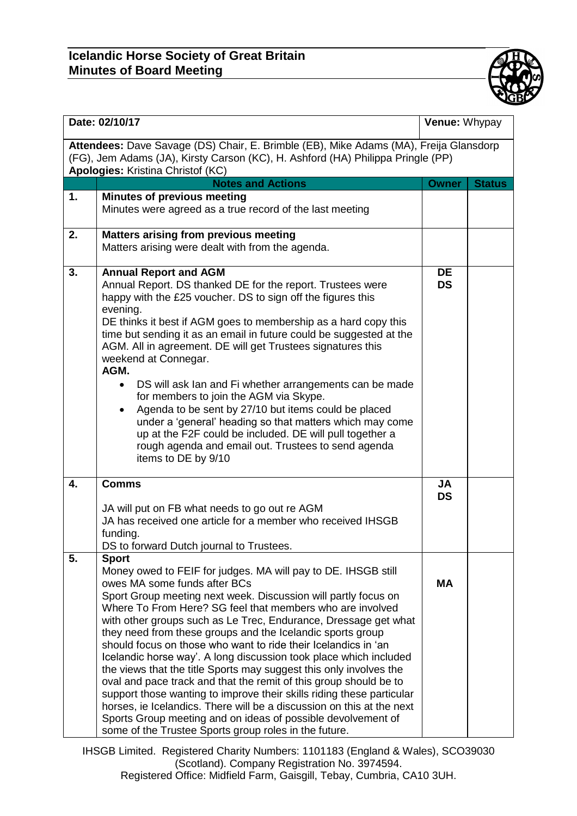

| Date: 02/10/17                                                                                                                                                                                                |                                                                                                                                                                                                                                                                                                                                                                                                                                                                                                                                                                                                                                                                                                                                                                                                                                                                                                                                            | Venue: Whypay          |               |  |  |
|---------------------------------------------------------------------------------------------------------------------------------------------------------------------------------------------------------------|--------------------------------------------------------------------------------------------------------------------------------------------------------------------------------------------------------------------------------------------------------------------------------------------------------------------------------------------------------------------------------------------------------------------------------------------------------------------------------------------------------------------------------------------------------------------------------------------------------------------------------------------------------------------------------------------------------------------------------------------------------------------------------------------------------------------------------------------------------------------------------------------------------------------------------------------|------------------------|---------------|--|--|
| Attendees: Dave Savage (DS) Chair, E. Brimble (EB), Mike Adams (MA), Freija Glansdorp<br>(FG), Jem Adams (JA), Kirsty Carson (KC), H. Ashford (HA) Philippa Pringle (PP)<br>Apologies: Kristina Christof (KC) |                                                                                                                                                                                                                                                                                                                                                                                                                                                                                                                                                                                                                                                                                                                                                                                                                                                                                                                                            |                        |               |  |  |
|                                                                                                                                                                                                               | <b>Notes and Actions</b>                                                                                                                                                                                                                                                                                                                                                                                                                                                                                                                                                                                                                                                                                                                                                                                                                                                                                                                   | <b>Owner</b>           | <b>Status</b> |  |  |
| 1.                                                                                                                                                                                                            | <b>Minutes of previous meeting</b><br>Minutes were agreed as a true record of the last meeting                                                                                                                                                                                                                                                                                                                                                                                                                                                                                                                                                                                                                                                                                                                                                                                                                                             |                        |               |  |  |
| 2.                                                                                                                                                                                                            | <b>Matters arising from previous meeting</b><br>Matters arising were dealt with from the agenda.                                                                                                                                                                                                                                                                                                                                                                                                                                                                                                                                                                                                                                                                                                                                                                                                                                           |                        |               |  |  |
| 3.                                                                                                                                                                                                            | <b>Annual Report and AGM</b><br>Annual Report. DS thanked DE for the report. Trustees were<br>happy with the £25 voucher. DS to sign off the figures this<br>evening.<br>DE thinks it best if AGM goes to membership as a hard copy this<br>time but sending it as an email in future could be suggested at the<br>AGM. All in agreement. DE will get Trustees signatures this<br>weekend at Connegar.<br>AGM.<br>DS will ask Ian and Fi whether arrangements can be made<br>for members to join the AGM via Skype.<br>Agenda to be sent by 27/10 but items could be placed<br>under a 'general' heading so that matters which may come<br>up at the F2F could be included. DE will pull together a<br>rough agenda and email out. Trustees to send agenda<br>items to DE by 9/10                                                                                                                                                          | DE<br><b>DS</b>        |               |  |  |
| 4.                                                                                                                                                                                                            | <b>Comms</b><br>JA will put on FB what needs to go out re AGM<br>JA has received one article for a member who received IHSGB<br>funding.<br>DS to forward Dutch journal to Trustees.                                                                                                                                                                                                                                                                                                                                                                                                                                                                                                                                                                                                                                                                                                                                                       | <b>JA</b><br><b>DS</b> |               |  |  |
| 5.                                                                                                                                                                                                            | <b>Sport</b><br>Money owed to FEIF for judges. MA will pay to DE. IHSGB still<br>owes MA some funds after BCs<br>Sport Group meeting next week. Discussion will partly focus on<br>Where To From Here? SG feel that members who are involved<br>with other groups such as Le Trec, Endurance, Dressage get what<br>they need from these groups and the Icelandic sports group<br>should focus on those who want to ride their Icelandics in 'an<br>Icelandic horse way'. A long discussion took place which included<br>the views that the title Sports may suggest this only involves the<br>oval and pace track and that the remit of this group should be to<br>support those wanting to improve their skills riding these particular<br>horses, ie Icelandics. There will be a discussion on this at the next<br>Sports Group meeting and on ideas of possible devolvement of<br>some of the Trustee Sports group roles in the future. | <b>MA</b>              |               |  |  |

IHSGB Limited. Registered Charity Numbers: 1101183 (England & Wales), SCO39030 (Scotland). Company Registration No. 3974594. Registered Office: Midfield Farm, Gaisgill, Tebay, Cumbria, CA10 3UH.